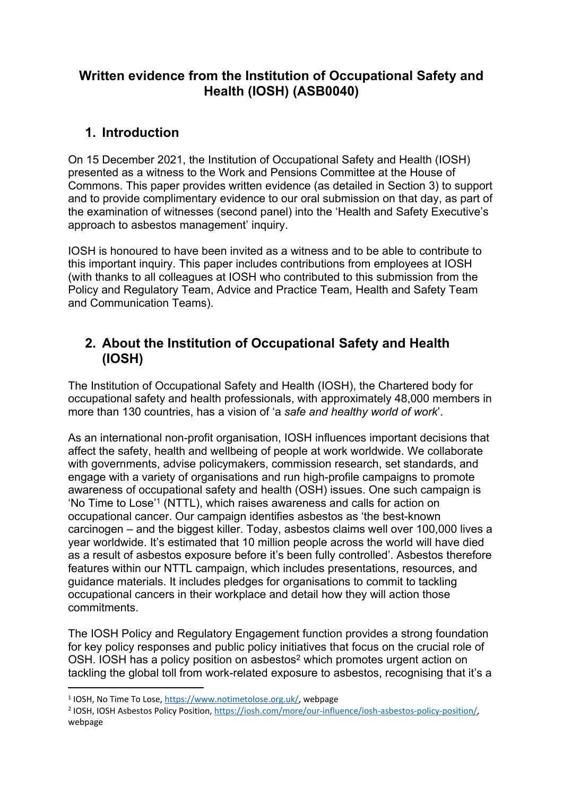## **Written evidence from the Institution of Occupational Safety and Health (IOSH) (ASB0040)**

# **1. Introduction**

On 15 December 2021, the Institution of Occupational Safety and Health (IOSH) presented as a witness to the Work and Pensions Committee at the House of Commons. This paper provides written evidence (as detailed in Section 3) to support and to provide complimentary evidence to our oral submission on that day, as part of the examination of witnesses (second panel) into the 'Health and Safety Executive's approach to asbestos management' inquiry.

IOSH is honoured to have been invited as a witness and to be able to contribute to this important inquiry. This paper includes contributions from employees at IOSH (with thanks to all colleagues at IOSH who contributed to this submission from the Policy and Regulatory Team, Advice and Practice Team, Health and Safety Team and Communication Teams).

# **2. About the Institution of Occupational Safety and Health (IOSH)**

The Institution of Occupational Safety and Health (IOSH), the Chartered body for occupational safety and health professionals, with approximately 48,000 members in more than 130 countries, has a vision of 'a *safe and healthy world of work*'.

As an international non-profit organisation, IOSH influences important decisions that affect the safety, health and wellbeing of people at work worldwide. We collaborate with governments, advise policymakers, commission research, set standards, and engage with a variety of organisations and run high-profile campaigns to promote awareness of occupational safety and health (OSH) issues. One such campaign is 'No Time to Lose'<sup>1</sup> (NTTL), which raises awareness and calls for action on occupational cancer. Our campaign identifies asbestos as 'the best-known carcinogen – and the biggest killer. Today, asbestos claims well over 100,000 lives a year worldwide. It's estimated that 10 million people across the world will have died as a result of asbestos exposure before it's been fully controlled'. Asbestos therefore features within our NTTL campaign, which includes presentations, resources, and guidance materials. It includes pledges for organisations to commit to tackling occupational cancers in their workplace and detail how they will action those commitments.

The IOSH Policy and Regulatory Engagement function provides a strong foundation for key policy responses and public policy initiatives that focus on the crucial role of OSH. IOSH has a policy position on asbestos<sup>2</sup> which promotes urgent action on tackling the global toll from work-related exposure to asbestos, recognising that it's a

<sup>&</sup>lt;sup>1</sup> IOSH, No Time To Lose, [https://www.notimetolose.org.uk/,](https://www.notimetolose.org.uk/) webpage

<sup>&</sup>lt;sup>2</sup> IOSH, IOSH Asbestos Policy Position, [https://iosh.com/more/our-influence/iosh-asbestos-policy-position/,](https://iosh.com/more/our-influence/iosh-asbestos-policy-position/) webpage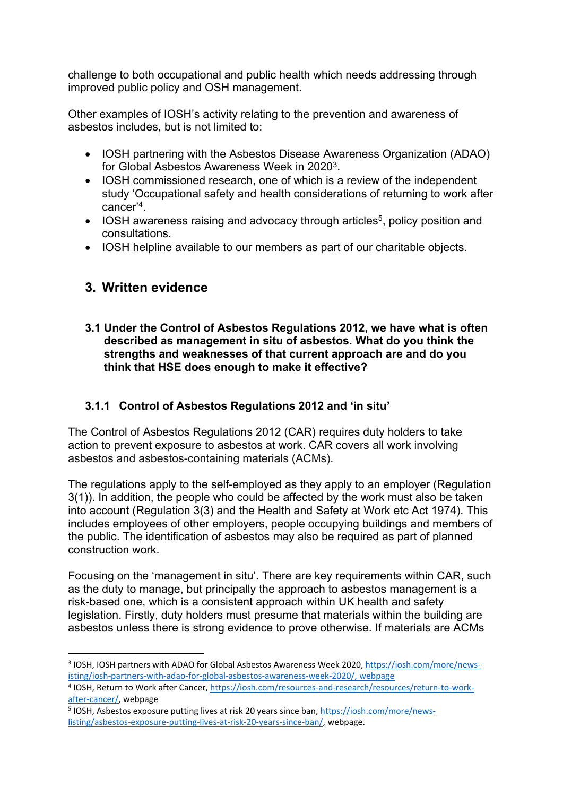challenge to both occupational and public health which needs addressing through improved public policy and OSH management.

Other examples of IOSH's activity relating to the prevention and awareness of asbestos includes, but is not limited to:

- IOSH partnering with the Asbestos Disease Awareness Organization (ADAO) for Global Asbestos Awareness Week in 2020<sup>3</sup>.
- IOSH commissioned research, one of which is a review of the independent study 'Occupational safety and health considerations of returning to work after cancer'<sup>4</sup> .
- IOSH awareness raising and advocacy through articles<sup>5</sup>, policy position and consultations.
- IOSH helpline available to our members as part of our charitable objects.

# **3. Written evidence**

**3.1 Under the Control of Asbestos Regulations 2012, we have what is often described as management in situ of asbestos. What do you think the strengths and weaknesses of that current approach are and do you think that HSE does enough to make it effective?**

## **3.1.1 Control of Asbestos Regulations 2012 and 'in situ'**

The Control of Asbestos Regulations 2012 (CAR) requires duty holders to take action to prevent exposure to asbestos at work. CAR covers all work involving asbestos and asbestos-containing materials (ACMs).

The regulations apply to the self-employed as they apply to an employer (Regulation 3(1)). In addition, the people who could be affected by the work must also be taken into account (Regulation 3(3) and the Health and Safety at Work etc Act 1974). This includes employees of other employers, people occupying buildings and members of the public. The identification of asbestos may also be required as part of planned construction work.

Focusing on the 'management in situ'. There are key requirements within CAR, such as the duty to manage, but principally the approach to asbestos management is a risk-based one, which is a consistent approach within UK health and safety legislation. Firstly, duty holders must presume that materials within the building are asbestos unless there is strong evidence to prove otherwise. If materials are ACMs

<sup>&</sup>lt;sup>3</sup> IOSH, IOSH partners with ADAO for Global Asbestos Awareness Week 2020, [https://iosh.com/more/news](https://iosh.com/more/news-isting/iosh-partners-with-adao-for-global-asbestos-awareness-week-2020/)[isting/iosh-partners-with-adao-for-global-asbestos-awareness-week-2020/](https://iosh.com/more/news-isting/iosh-partners-with-adao-for-global-asbestos-awareness-week-2020/), webpage

<sup>4</sup> IOSH, Return to Work after Cancer, [https://iosh.com/resources-and-research/resources/return-to-work](https://iosh.com/resources-and-research/resources/return-to-work-after-cancer/)[after-cancer/,](https://iosh.com/resources-and-research/resources/return-to-work-after-cancer/) webpage

<sup>&</sup>lt;sup>5</sup> IOSH, Asbestos exposure putting lives at risk 20 years since ban, [https://iosh.com/more/news](https://iosh.com/more/news-listing/asbestos-exposure-putting-lives-at-risk-20-years-since-ban/)[listing/asbestos-exposure-putting-lives-at-risk-20-years-since-ban/,](https://iosh.com/more/news-listing/asbestos-exposure-putting-lives-at-risk-20-years-since-ban/) webpage.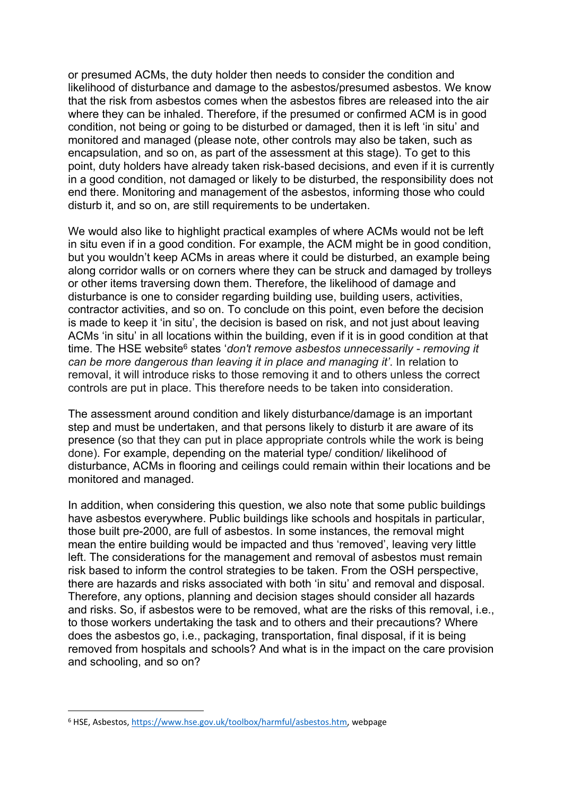or presumed ACMs, the duty holder then needs to consider the condition and likelihood of disturbance and damage to the asbestos/presumed asbestos. We know that the risk from asbestos comes when the asbestos fibres are released into the air where they can be inhaled. Therefore, if the presumed or confirmed ACM is in good condition, not being or going to be disturbed or damaged, then it is left 'in situ' and monitored and managed (please note, other controls may also be taken, such as encapsulation, and so on, as part of the assessment at this stage). To get to this point, duty holders have already taken risk-based decisions, and even if it is currently in a good condition, not damaged or likely to be disturbed, the responsibility does not end there. Monitoring and management of the asbestos, informing those who could disturb it, and so on, are still requirements to be undertaken.

We would also like to highlight practical examples of where ACMs would not be left in situ even if in a good condition. For example, the ACM might be in good condition, but you wouldn't keep ACMs in areas where it could be disturbed, an example being along corridor walls or on corners where they can be struck and damaged by trolleys or other items traversing down them. Therefore, the likelihood of damage and disturbance is one to consider regarding building use, building users, activities, contractor activities, and so on. To conclude on this point, even before the decision is made to keep it 'in situ', the decision is based on risk, and not just about leaving ACMs 'in situ' in all locations within the building, even if it is in good condition at that time. The HSE website<sup>6</sup> states '*don't remove asbestos unnecessarily - removing it can be more dangerous than leaving it in place and managing it'*. In relation to removal, it will introduce risks to those removing it and to others unless the correct controls are put in place. This therefore needs to be taken into consideration.

The assessment around condition and likely disturbance/damage is an important step and must be undertaken, and that persons likely to disturb it are aware of its presence (so that they can put in place appropriate controls while the work is being done). For example, depending on the material type/ condition/ likelihood of disturbance, ACMs in flooring and ceilings could remain within their locations and be monitored and managed.

In addition, when considering this question, we also note that some public buildings have asbestos everywhere. Public buildings like schools and hospitals in particular, those built pre-2000, are full of asbestos. In some instances, the removal might mean the entire building would be impacted and thus 'removed', leaving very little left. The considerations for the management and removal of asbestos must remain risk based to inform the control strategies to be taken. From the OSH perspective, there are hazards and risks associated with both 'in situ' and removal and disposal. Therefore, any options, planning and decision stages should consider all hazards and risks. So, if asbestos were to be removed, what are the risks of this removal, i.e., to those workers undertaking the task and to others and their precautions? Where does the asbestos go, i.e., packaging, transportation, final disposal, if it is being removed from hospitals and schools? And what is in the impact on the care provision and schooling, and so on?

<sup>6</sup> HSE, Asbestos, <https://www.hse.gov.uk/toolbox/harmful/asbestos.htm>, webpage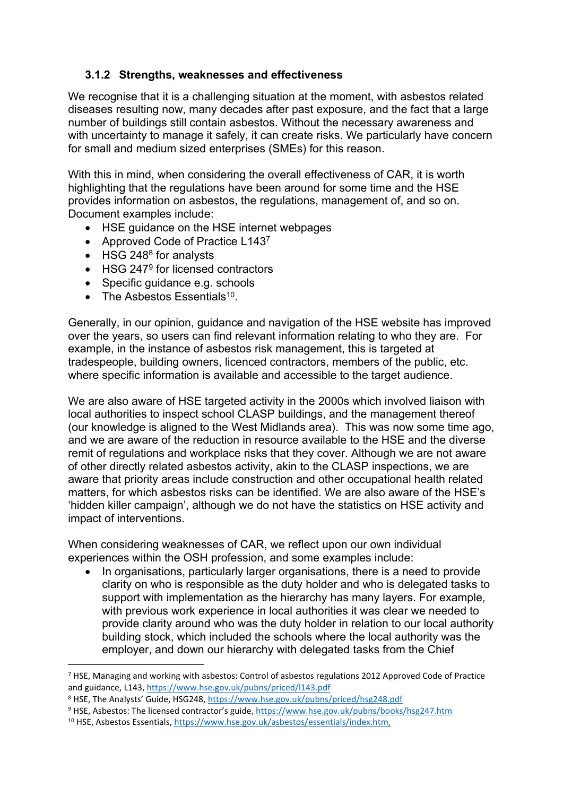### **3.1.2 Strengths, weaknesses and effectiveness**

We recognise that it is a challenging situation at the moment, with asbestos related diseases resulting now, many decades after past exposure, and the fact that a large number of buildings still contain asbestos. Without the necessary awareness and with uncertainty to manage it safely, it can create risks. We particularly have concern for small and medium sized enterprises (SMEs) for this reason.

With this in mind, when considering the overall effectiveness of CAR, it is worth highlighting that the regulations have been around for some time and the HSE provides information on asbestos, the regulations, management of, and so on. Document examples include:

- HSE guidance on the HSE internet webpages
- Approved Code of Practice L1437
- HSG 248<sup>8</sup> for analysts
- HSG 247<sup>9</sup> for licensed contractors
- Specific guidance e.g. schools
- The Asbestos Essentials<sup>10</sup>.

Generally, in our opinion, guidance and navigation of the HSE website has improved over the years, so users can find relevant information relating to who they are. For example, in the instance of asbestos risk management, this is targeted at tradespeople, building owners, licenced contractors, members of the public, etc. where specific information is available and accessible to the target audience.

We are also aware of HSE targeted activity in the 2000s which involved liaison with local authorities to inspect school CLASP buildings, and the management thereof (our knowledge is aligned to the West Midlands area). This was now some time ago, and we are aware of the reduction in resource available to the HSE and the diverse remit of regulations and workplace risks that they cover. Although we are not aware of other directly related asbestos activity, akin to the CLASP inspections, we are aware that priority areas include construction and other occupational health related matters, for which asbestos risks can be identified. We are also aware of the HSE's 'hidden killer campaign', although we do not have the statistics on HSE activity and impact of interventions.

When considering weaknesses of CAR, we reflect upon our own individual experiences within the OSH profession, and some examples include:

 In organisations, particularly larger organisations, there is a need to provide clarity on who is responsible as the duty holder and who is delegated tasks to support with implementation as the hierarchy has many layers. For example, with previous work experience in local authorities it was clear we needed to provide clarity around who was the duty holder in relation to our local authority building stock, which included the schools where the local authority was the employer, and down our hierarchy with delegated tasks from the Chief

<sup>7</sup> HSE, Managing and working with asbestos: Control of asbestos regulations 2012 Approved Code of Practice and guidance, L143, <https://www.hse.gov.uk/pubns/priced/l143.pdf>

<sup>8</sup> HSE, The Analysts' Guide, HSG248, <https://www.hse.gov.uk/pubns/priced/hsg248.pdf>

<sup>9</sup> HSE, Asbestos: The licensed contractor's guide, <https://www.hse.gov.uk/pubns/books/hsg247.htm>

<sup>10</sup> HSE, Asbestos Essentials, [https://www.hse.gov.uk/asbestos/essentials/index.htm,](https://www.hse.gov.uk/asbestos/essentials/index.htm)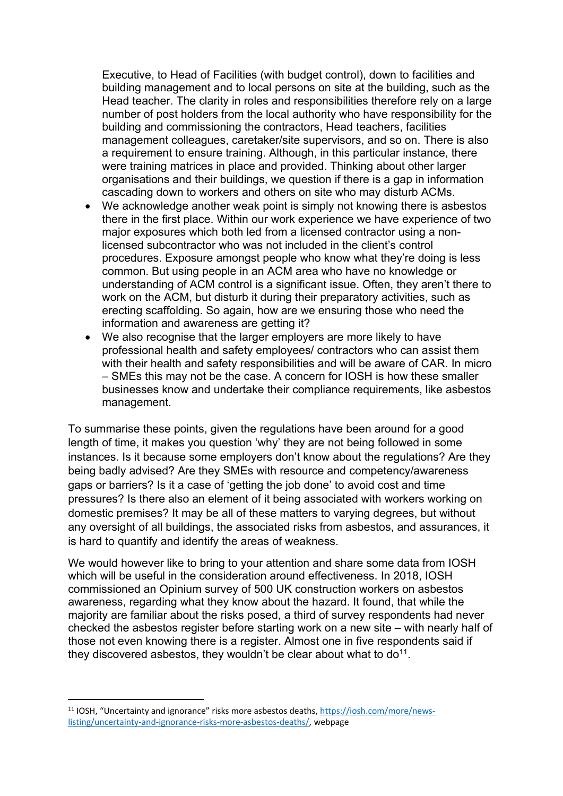Executive, to Head of Facilities (with budget control), down to facilities and building management and to local persons on site at the building, such as the Head teacher. The clarity in roles and responsibilities therefore rely on a large number of post holders from the local authority who have responsibility for the building and commissioning the contractors, Head teachers, facilities management colleagues, caretaker/site supervisors, and so on. There is also a requirement to ensure training. Although, in this particular instance, there were training matrices in place and provided. Thinking about other larger organisations and their buildings, we question if there is a gap in information cascading down to workers and others on site who may disturb ACMs.

- We acknowledge another weak point is simply not knowing there is asbestos there in the first place. Within our work experience we have experience of two major exposures which both led from a licensed contractor using a nonlicensed subcontractor who was not included in the client's control procedures. Exposure amongst people who know what they're doing is less common. But using people in an ACM area who have no knowledge or understanding of ACM control is a significant issue. Often, they aren't there to work on the ACM, but disturb it during their preparatory activities, such as erecting scaffolding. So again, how are we ensuring those who need the information and awareness are getting it?
- We also recognise that the larger employers are more likely to have professional health and safety employees/ contractors who can assist them with their health and safety responsibilities and will be aware of CAR. In micro – SMEs this may not be the case. A concern for IOSH is how these smaller businesses know and undertake their compliance requirements, like asbestos management.

To summarise these points, given the regulations have been around for a good length of time, it makes you question 'why' they are not being followed in some instances. Is it because some employers don't know about the regulations? Are they being badly advised? Are they SMEs with resource and competency/awareness gaps or barriers? Is it a case of 'getting the job done' to avoid cost and time pressures? Is there also an element of it being associated with workers working on domestic premises? It may be all of these matters to varying degrees, but without any oversight of all buildings, the associated risks from asbestos, and assurances, it is hard to quantify and identify the areas of weakness.

We would however like to bring to your attention and share some data from IOSH which will be useful in the consideration around effectiveness. In 2018, IOSH commissioned an Opinium survey of 500 UK construction workers on asbestos awareness, regarding what they know about the hazard. It found, that while the majority are familiar about the risks posed, a third of survey respondents had never checked the asbestos register before starting work on a new site – with nearly half of those not even knowing there is a register. Almost one in five respondents said if they discovered asbestos, they wouldn't be clear about what to do<sup>11</sup>.

<sup>11</sup> IOSH, "Uncertainty and ignorance" risks more asbestos deaths, [https://iosh.com/more/news](https://iosh.com/more/news-listing/uncertainty-and-ignorance-risks-more-asbestos-deaths/)[listing/uncertainty-and-ignorance-risks-more-asbestos-deaths/](https://iosh.com/more/news-listing/uncertainty-and-ignorance-risks-more-asbestos-deaths/), webpage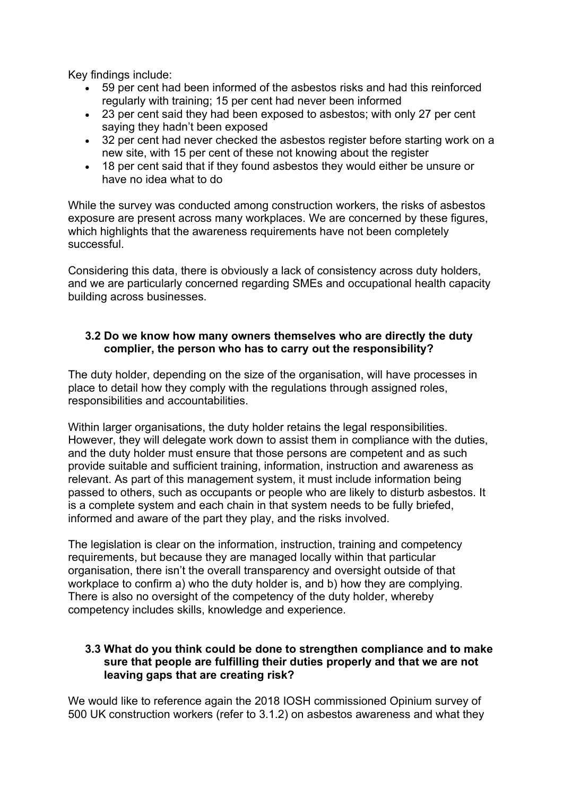Key findings include:

- 59 per cent had been informed of the asbestos risks and had this reinforced regularly with training; 15 per cent had never been informed
- 23 per cent said they had been exposed to asbestos; with only 27 per cent saying they hadn't been exposed
- 32 per cent had never checked the asbestos register before starting work on a new site, with 15 per cent of these not knowing about the register
- 18 per cent said that if they found asbestos they would either be unsure or have no idea what to do

While the survey was conducted among construction workers, the risks of asbestos exposure are present across many workplaces. We are concerned by these figures, which highlights that the awareness requirements have not been completely successful.

Considering this data, there is obviously a lack of consistency across duty holders, and we are particularly concerned regarding SMEs and occupational health capacity building across businesses.

### **3.2 Do we know how many owners themselves who are directly the duty complier, the person who has to carry out the responsibility?**

The duty holder, depending on the size of the organisation, will have processes in place to detail how they comply with the regulations through assigned roles, responsibilities and accountabilities.

Within larger organisations, the duty holder retains the legal responsibilities. However, they will delegate work down to assist them in compliance with the duties, and the duty holder must ensure that those persons are competent and as such provide suitable and sufficient training, information, instruction and awareness as relevant. As part of this management system, it must include information being passed to others, such as occupants or people who are likely to disturb asbestos. It is a complete system and each chain in that system needs to be fully briefed, informed and aware of the part they play, and the risks involved.

The legislation is clear on the information, instruction, training and competency requirements, but because they are managed locally within that particular organisation, there isn't the overall transparency and oversight outside of that workplace to confirm a) who the duty holder is, and b) how they are complying. There is also no oversight of the competency of the duty holder, whereby competency includes skills, knowledge and experience.

### **3.3 What do you think could be done to strengthen compliance and to make sure that people are fulfilling their duties properly and that we are not leaving gaps that are creating risk?**

We would like to reference again the 2018 IOSH commissioned Opinium survey of 500 UK construction workers (refer to 3.1.2) on asbestos awareness and what they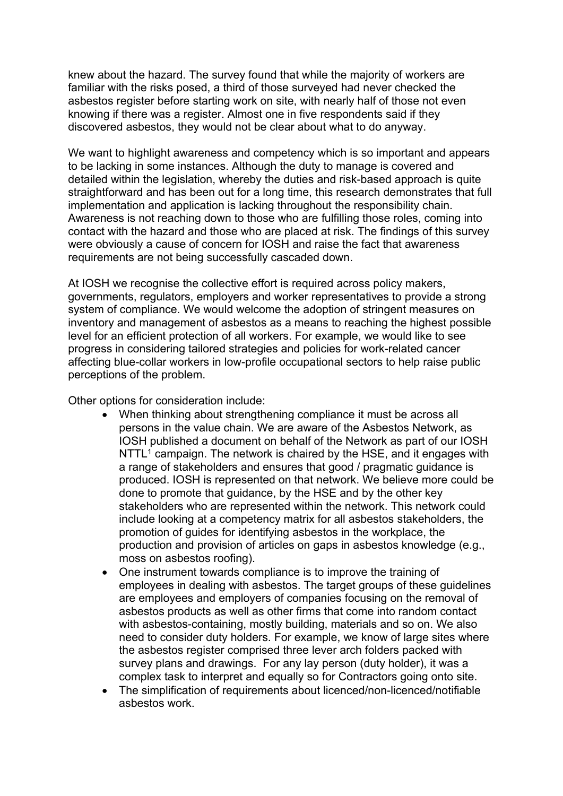knew about the hazard. The survey found that while the majority of workers are familiar with the risks posed, a third of those surveyed had never checked the asbestos register before starting work on site, with nearly half of those not even knowing if there was a register. Almost one in five respondents said if they discovered asbestos, they would not be clear about what to do anyway.

We want to highlight awareness and competency which is so important and appears to be lacking in some instances. Although the duty to manage is covered and detailed within the legislation, whereby the duties and risk-based approach is quite straightforward and has been out for a long time, this research demonstrates that full implementation and application is lacking throughout the responsibility chain. Awareness is not reaching down to those who are fulfilling those roles, coming into contact with the hazard and those who are placed at risk. The findings of this survey were obviously a cause of concern for IOSH and raise the fact that awareness requirements are not being successfully cascaded down.

At IOSH we recognise the collective effort is required across policy makers, governments, regulators, employers and worker representatives to provide a strong system of compliance. We would welcome the adoption of stringent measures on inventory and management of asbestos as a means to reaching the highest possible level for an efficient protection of all workers. For example, we would like to see progress in considering tailored strategies and policies for work-related cancer affecting blue-collar workers in low-profile occupational sectors to help raise public perceptions of the problem.

Other options for consideration include:

- When thinking about strengthening compliance it must be across all persons in the value chain. We are aware of the Asbestos Network, as IOSH published a document on behalf of the Network as part of our IOSH  $N$ TTL<sup>1</sup> campaign. The network is chaired by the HSE, and it engages with a range of stakeholders and ensures that good / pragmatic guidance is produced. IOSH is represented on that network. We believe more could be done to promote that guidance, by the HSE and by the other key stakeholders who are represented within the network. This network could include looking at a competency matrix for all asbestos stakeholders, the promotion of guides for identifying asbestos in the workplace, the production and provision of articles on gaps in asbestos knowledge (e.g., moss on asbestos roofing).
- One instrument towards compliance is to improve the training of employees in dealing with asbestos. The target groups of these guidelines are employees and employers of companies focusing on the removal of asbestos products as well as other firms that come into random contact with asbestos-containing, mostly building, materials and so on. We also need to consider duty holders. For example, we know of large sites where the asbestos register comprised three lever arch folders packed with survey plans and drawings. For any lay person (duty holder), it was a complex task to interpret and equally so for Contractors going onto site.
- The simplification of requirements about licenced/non-licenced/notifiable asbestos work.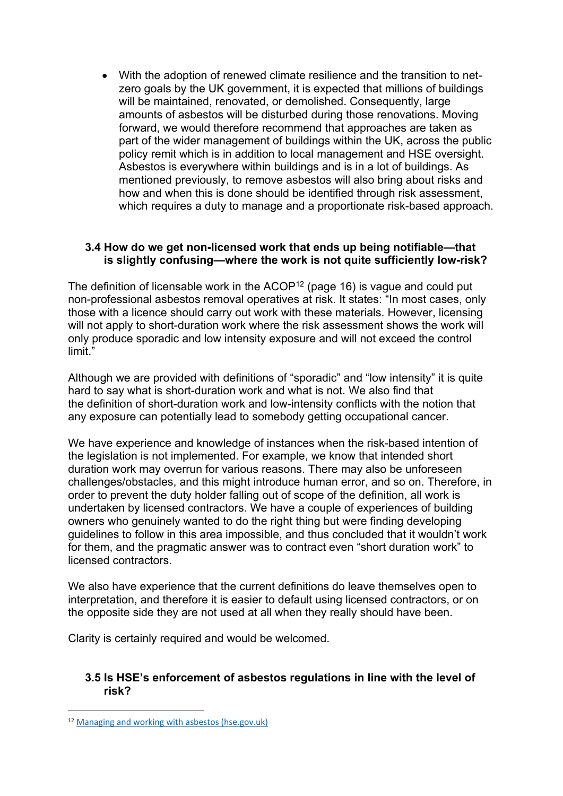With the adoption of renewed climate resilience and the transition to netzero goals by the UK government, it is expected that millions of buildings will be maintained, renovated, or demolished. Consequently, large amounts of asbestos will be disturbed during those renovations. Moving forward, we would therefore recommend that approaches are taken as part of the wider management of buildings within the UK, across the public policy remit which is in addition to local management and HSE oversight. Asbestos is everywhere within buildings and is in a lot of buildings. As mentioned previously, to remove asbestos will also bring about risks and how and when this is done should be identified through risk assessment, which requires a duty to manage and a proportionate risk-based approach.

#### **3.4 How do we get non-licensed work that ends up being notifiable—that is slightly confusing—where the work is not quite sufficiently low-risk?**

The definition of licensable work in the  $ACOP<sup>12</sup>$  (page 16) is vague and could put non-professional asbestos removal operatives at risk. It states: "In most cases, only those with a licence should carry out work with these materials. However, licensing will not apply to short-duration work where the risk assessment shows the work will only produce sporadic and low intensity exposure and will not exceed the control limit."

Although we are provided with definitions of "sporadic" and "low intensity" it is quite hard to say what is short-duration work and what is not. We also find that the definition of short-duration work and low-intensity conflicts with the notion that any exposure can potentially lead to somebody getting occupational cancer.

We have experience and knowledge of instances when the risk-based intention of the legislation is not implemented. For example, we know that intended short duration work may overrun for various reasons. There may also be unforeseen challenges/obstacles, and this might introduce human error, and so on. Therefore, in order to prevent the duty holder falling out of scope of the definition, all work is undertaken by licensed contractors. We have a couple of experiences of building owners who genuinely wanted to do the right thing but were finding developing guidelines to follow in this area impossible, and thus concluded that it wouldn't work for them, and the pragmatic answer was to contract even "short duration work" to licensed contractors.

We also have experience that the current definitions do leave themselves open to interpretation, and therefore it is easier to default using licensed contractors, or on the opposite side they are not used at all when they really should have been.

Clarity is certainly required and would be welcomed.

### **3.5 Is HSE's enforcement of asbestos regulations in line with the level of risk?**

<sup>12</sup> [Managing](https://www.hse.gov.uk/pubns/priced/l143.pdf) [and](https://www.hse.gov.uk/pubns/priced/l143.pdf) [working](https://www.hse.gov.uk/pubns/priced/l143.pdf) [with](https://www.hse.gov.uk/pubns/priced/l143.pdf) [asbestos](https://www.hse.gov.uk/pubns/priced/l143.pdf) [\(hse.gov.uk\)](https://www.hse.gov.uk/pubns/priced/l143.pdf)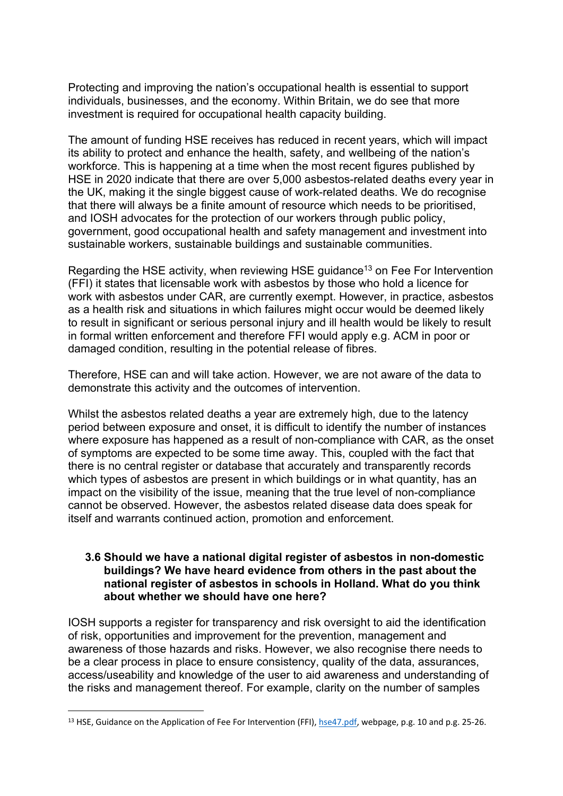Protecting and improving the nation's occupational health is essential to support individuals, businesses, and the economy. Within Britain, we do see that more investment is required for occupational health capacity building.

The amount of funding HSE receives has reduced in recent years, which will impact its ability to protect and enhance the health, safety, and wellbeing of the nation's workforce. This is happening at a time when the most recent figures published by HSE in 2020 indicate that there are over 5,000 asbestos-related deaths every year in the UK, making it the single biggest cause of work-related deaths. We do recognise that there will always be a finite amount of resource which needs to be prioritised, and IOSH advocates for the protection of our workers through public policy, government, good occupational health and safety management and investment into sustainable workers, sustainable buildings and sustainable communities.

Regarding the HSE activity, when reviewing HSE guidance<sup>13</sup> on Fee For Intervention (FFI) it states that licensable work with asbestos by those who hold a licence for work with asbestos under CAR, are currently exempt. However, in practice, asbestos as a health risk and situations in which failures might occur would be deemed likely to result in significant or serious personal injury and ill health would be likely to result in formal written enforcement and therefore FFI would apply e.g. ACM in poor or damaged condition, resulting in the potential release of fibres.

Therefore, HSE can and will take action. However, we are not aware of the data to demonstrate this activity and the outcomes of intervention.

Whilst the asbestos related deaths a year are extremely high, due to the latency period between exposure and onset, it is difficult to identify the number of instances where exposure has happened as a result of non-compliance with CAR, as the onset of symptoms are expected to be some time away. This, coupled with the fact that there is no central register or database that accurately and transparently records which types of asbestos are present in which buildings or in what quantity, has an impact on the visibility of the issue, meaning that the true level of non-compliance cannot be observed. However, the asbestos related disease data does speak for itself and warrants continued action, promotion and enforcement.

#### **3.6 Should we have a national digital register of asbestos in non-domestic buildings? We have heard evidence from others in the past about the national register of asbestos in schools in Holland. What do you think about whether we should have one here?**

IOSH supports a register for transparency and risk oversight to aid the identification of risk, opportunities and improvement for the prevention, management and awareness of those hazards and risks. However, we also recognise there needs to be a clear process in place to ensure consistency, quality of the data, assurances, access/useability and knowledge of the user to aid awareness and understanding of the risks and management thereof. For example, clarity on the number of samples

<sup>&</sup>lt;sup>13</sup> HSE, Guidance on the Application of Fee For Intervention (FFI), [hse47.pdf,](https://www.hse.gov.uk/pubns/hse47.pdf) webpage, p.g. 10 and p.g. 25-26.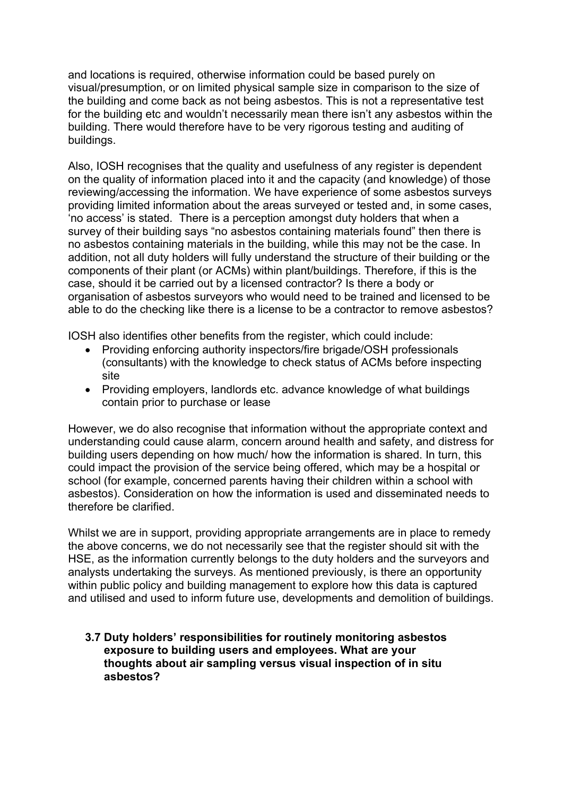and locations is required, otherwise information could be based purely on visual/presumption, or on limited physical sample size in comparison to the size of the building and come back as not being asbestos. This is not a representative test for the building etc and wouldn't necessarily mean there isn't any asbestos within the building. There would therefore have to be very rigorous testing and auditing of buildings.

Also, IOSH recognises that the quality and usefulness of any register is dependent on the quality of information placed into it and the capacity (and knowledge) of those reviewing/accessing the information. We have experience of some asbestos surveys providing limited information about the areas surveyed or tested and, in some cases, 'no access' is stated. There is a perception amongst duty holders that when a survey of their building says "no asbestos containing materials found" then there is no asbestos containing materials in the building, while this may not be the case. In addition, not all duty holders will fully understand the structure of their building or the components of their plant (or ACMs) within plant/buildings. Therefore, if this is the case, should it be carried out by a licensed contractor? Is there a body or organisation of asbestos surveyors who would need to be trained and licensed to be able to do the checking like there is a license to be a contractor to remove asbestos?

IOSH also identifies other benefits from the register, which could include:

- Providing enforcing authority inspectors/fire brigade/OSH professionals (consultants) with the knowledge to check status of ACMs before inspecting site
- Providing employers, landlords etc. advance knowledge of what buildings contain prior to purchase or lease

However, we do also recognise that information without the appropriate context and understanding could cause alarm, concern around health and safety, and distress for building users depending on how much/ how the information is shared. In turn, this could impact the provision of the service being offered, which may be a hospital or school (for example, concerned parents having their children within a school with asbestos). Consideration on how the information is used and disseminated needs to therefore be clarified.

Whilst we are in support, providing appropriate arrangements are in place to remedy the above concerns, we do not necessarily see that the register should sit with the HSE, as the information currently belongs to the duty holders and the surveyors and analysts undertaking the surveys. As mentioned previously, is there an opportunity within public policy and building management to explore how this data is captured and utilised and used to inform future use, developments and demolition of buildings.

**3.7 Duty holders' responsibilities for routinely monitoring asbestos exposure to building users and employees. What are your thoughts about air sampling versus visual inspection of in situ asbestos?**